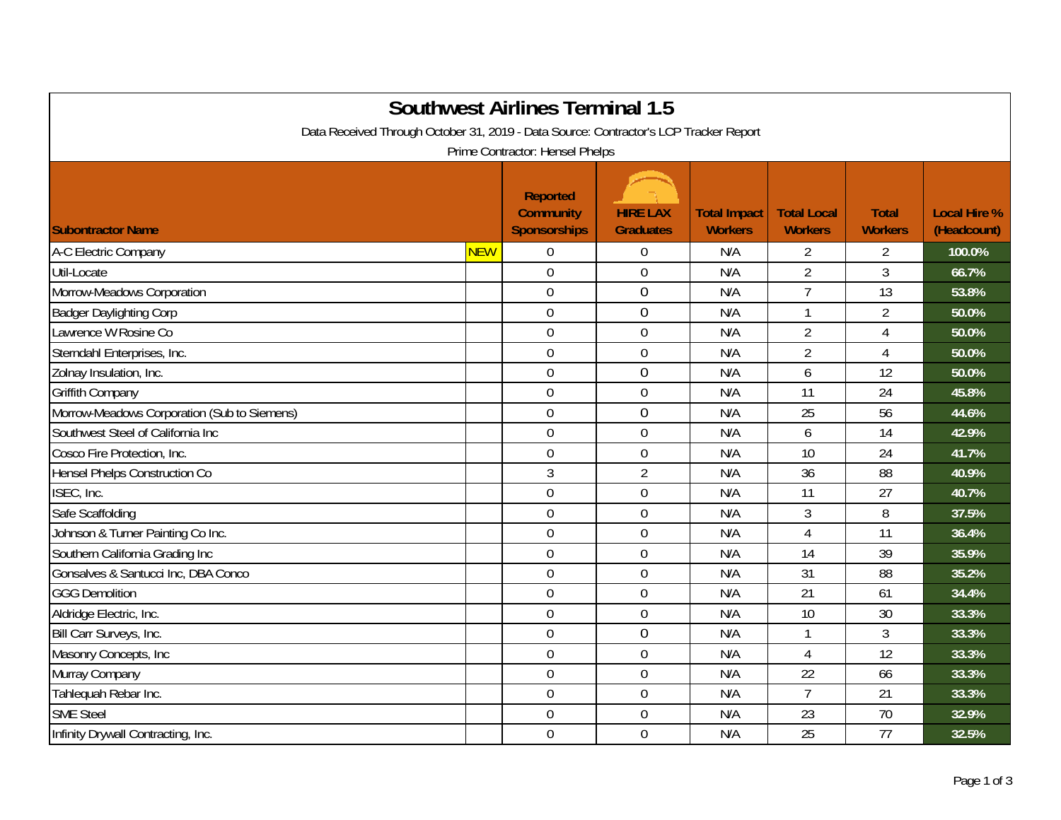| <b>Southwest Airlines Terminal 1.5</b><br>Data Received Through October 31, 2019 - Data Source: Contractor's LCP Tracker Report<br>Prime Contractor: Hensel Phelps |                                                            |                                     |                                       |                                      |                                |                                    |  |  |  |
|--------------------------------------------------------------------------------------------------------------------------------------------------------------------|------------------------------------------------------------|-------------------------------------|---------------------------------------|--------------------------------------|--------------------------------|------------------------------------|--|--|--|
| <b>Subontractor Name</b>                                                                                                                                           | <b>Reported</b><br><b>Community</b><br><b>Sponsorships</b> | <b>HIRE LAX</b><br><b>Graduates</b> | <b>Total Impact</b><br><b>Workers</b> | <b>Total Local</b><br><b>Workers</b> | <b>Total</b><br><b>Workers</b> | <b>Local Hire %</b><br>(Headcount) |  |  |  |
| A-C Electric Company<br><b>NEW</b>                                                                                                                                 | $\overline{0}$                                             | $\boldsymbol{0}$                    | N/A                                   | $\overline{2}$                       | $\overline{2}$                 | 100.0%                             |  |  |  |
| Util-Locate                                                                                                                                                        | $\overline{0}$                                             | $\mathbf 0$                         | N/A                                   | $\overline{2}$                       | 3                              | 66.7%                              |  |  |  |
| Morrow-Meadows Corporation                                                                                                                                         | $\overline{0}$                                             | $\mathbf 0$                         | N/A                                   | $\overline{7}$                       | 13                             | 53.8%                              |  |  |  |
| <b>Badger Daylighting Corp</b>                                                                                                                                     | $\mathbf 0$                                                | $\boldsymbol{0}$                    | N/A                                   | -1                                   | $\overline{2}$                 | 50.0%                              |  |  |  |
| Lawrence W Rosine Co                                                                                                                                               | $\mathbf 0$                                                | $\mathbf 0$                         | N/A                                   | $\overline{2}$                       | $\overline{4}$                 | 50.0%                              |  |  |  |
| Sterndahl Enterprises, Inc.                                                                                                                                        | $\overline{0}$                                             | $\boldsymbol{0}$                    | N/A                                   | $\overline{2}$                       | $\overline{4}$                 | 50.0%                              |  |  |  |
| Zolnay Insulation, Inc.                                                                                                                                            | $\mathbf 0$                                                | $\boldsymbol{0}$                    | N/A                                   | 6                                    | 12                             | 50.0%                              |  |  |  |
| <b>Griffith Company</b>                                                                                                                                            | $\overline{0}$                                             | $\mathbf 0$                         | N/A                                   | 11                                   | 24                             | 45.8%                              |  |  |  |
| Morrow-Meadows Corporation (Sub to Siemens)                                                                                                                        | $\mathbf 0$                                                | $\mathbf 0$                         | N/A                                   | 25                                   | 56                             | 44.6%                              |  |  |  |
| Southwest Steel of California Inc                                                                                                                                  | $\overline{0}$                                             | $\mathbf 0$                         | N/A                                   | 6                                    | 14                             | 42.9%                              |  |  |  |
| Cosco Fire Protection, Inc.                                                                                                                                        | $\mathbf 0$                                                | $\boldsymbol{0}$                    | N/A                                   | 10                                   | 24                             | 41.7%                              |  |  |  |
| Hensel Phelps Construction Co                                                                                                                                      | $\mathfrak{Z}$                                             | $\overline{2}$                      | N/A                                   | 36                                   | 88                             | 40.9%                              |  |  |  |
| ISEC, Inc.                                                                                                                                                         | $\mathbf 0$                                                | $\boldsymbol{0}$                    | N/A                                   | 11                                   | 27                             | 40.7%                              |  |  |  |
| Safe Scaffolding                                                                                                                                                   | $\mathbf 0$                                                | $\boldsymbol{0}$                    | N/A                                   | 3                                    | 8                              | 37.5%                              |  |  |  |
| Johnson & Turner Painting Co Inc.                                                                                                                                  | $\overline{0}$                                             | $\boldsymbol{0}$                    | N/A                                   | 4                                    | 11                             | 36.4%                              |  |  |  |
| Southern California Grading Inc                                                                                                                                    | $\overline{0}$                                             | $\mathbf 0$                         | N/A                                   | 14                                   | 39                             | 35.9%                              |  |  |  |
| Gonsalves & Santucci Inc, DBA Conco                                                                                                                                | $\overline{0}$                                             | $\mathbf 0$                         | N/A                                   | 31                                   | 88                             | 35.2%                              |  |  |  |
| <b>GGG Demolition</b>                                                                                                                                              | $\mathbf 0$                                                | $\mathbf 0$                         | N/A                                   | 21                                   | 61                             | 34.4%                              |  |  |  |
| Aldridge Electric, Inc.                                                                                                                                            | $\mathbf 0$                                                | $\mathbf 0$                         | N/A                                   | 10                                   | 30                             | 33.3%                              |  |  |  |
| Bill Carr Surveys, Inc.                                                                                                                                            | $\mathbf 0$                                                | $\boldsymbol{0}$                    | N/A                                   | 1                                    | $\mathfrak{Z}$                 | 33.3%                              |  |  |  |
| Masonry Concepts, Inc                                                                                                                                              | $\mathbf 0$                                                | $\boldsymbol{0}$                    | N/A                                   | $\overline{4}$                       | 12                             | 33.3%                              |  |  |  |
| Murray Company                                                                                                                                                     | $\overline{0}$                                             | $\boldsymbol{0}$                    | N/A                                   | 22                                   | 66                             | 33.3%                              |  |  |  |
| Tahlequah Rebar Inc.                                                                                                                                               | $\overline{0}$                                             | $\mathbf 0$                         | N/A                                   | $\overline{7}$                       | 21                             | 33.3%                              |  |  |  |
| <b>SME Steel</b>                                                                                                                                                   | $\overline{0}$                                             | $\boldsymbol{0}$                    | N/A                                   | 23                                   | 70                             | 32.9%                              |  |  |  |
| Infinity Drywall Contracting, Inc.                                                                                                                                 | $\overline{0}$                                             | $\mathbf 0$                         | N/A                                   | 25                                   | 77                             | 32.5%                              |  |  |  |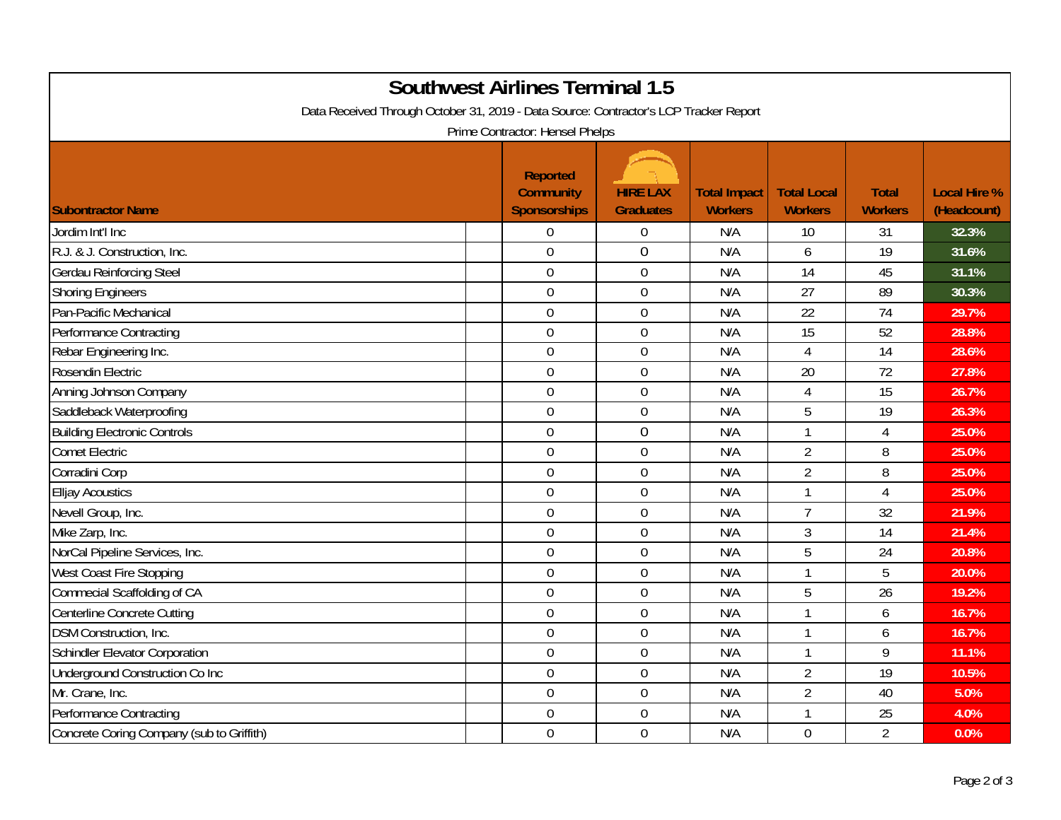| <b>Southwest Airlines Terminal 1.5</b><br>Data Received Through October 31, 2019 - Data Source: Contractor's LCP Tracker Report<br>Prime Contractor: Hensel Phelps |                                                            |                                     |                                       |                                      |                                |                                    |  |  |
|--------------------------------------------------------------------------------------------------------------------------------------------------------------------|------------------------------------------------------------|-------------------------------------|---------------------------------------|--------------------------------------|--------------------------------|------------------------------------|--|--|
| <b>Subontractor Name</b>                                                                                                                                           | <b>Reported</b><br><b>Community</b><br><b>Sponsorships</b> | <b>HIRE LAX</b><br><b>Graduates</b> | <b>Total Impact</b><br><b>Workers</b> | <b>Total Local</b><br><b>Workers</b> | <b>Total</b><br><b>Workers</b> | <b>Local Hire %</b><br>(Headcount) |  |  |
| Jordim Int'l Inc                                                                                                                                                   | $\boldsymbol{0}$                                           | $\boldsymbol{0}$                    | N/A                                   | 10                                   | 31                             | 32.3%                              |  |  |
| R.J. & J. Construction, Inc.                                                                                                                                       | $\overline{0}$                                             | $\mathbf 0$                         | N/A                                   | 6                                    | 19                             | 31.6%                              |  |  |
| <b>Gerdau Reinforcing Steel</b>                                                                                                                                    | $\mathbf 0$                                                | $\mathbf 0$                         | N/A                                   | 14                                   | 45                             | 31.1%                              |  |  |
| <b>Shoring Engineers</b>                                                                                                                                           | $\overline{0}$                                             | $\overline{0}$                      | N/A                                   | 27                                   | 89                             | 30.3%                              |  |  |
| Pan-Pacific Mechanical                                                                                                                                             | $\mathbf 0$                                                | $\mathbf 0$                         | N/A                                   | 22                                   | 74                             | 29.7%                              |  |  |
| <b>Performance Contracting</b>                                                                                                                                     | $\mathbf 0$                                                | $\boldsymbol{0}$                    | N/A                                   | 15                                   | 52                             | 28.8%                              |  |  |
| Rebar Engineering Inc.                                                                                                                                             | $\mathbf 0$                                                | $\mathbf 0$                         | N/A                                   | 4                                    | $\overline{14}$                | 28.6%                              |  |  |
| Rosendin Electric                                                                                                                                                  | $\mathbf 0$                                                | $\mathbf 0$                         | N/A                                   | 20                                   | 72                             | 27.8%                              |  |  |
| Anning Johnson Company                                                                                                                                             | $\overline{0}$                                             | $\overline{0}$                      | N/A                                   | $\overline{4}$                       | 15                             | 26.7%                              |  |  |
| Saddleback Waterproofing                                                                                                                                           | $\overline{0}$                                             | $\mathbf 0$                         | N/A                                   | 5                                    | 19                             | 26.3%                              |  |  |
| <b>Building Electronic Controls</b>                                                                                                                                | $\mathbf 0$                                                | $\boldsymbol{0}$                    | N/A                                   | $\mathbf{1}$                         | $\overline{4}$                 | 25.0%                              |  |  |
| <b>Comet Electric</b>                                                                                                                                              | $\overline{0}$                                             | $\mathbf 0$                         | N/A                                   | $\overline{2}$                       | 8                              | 25.0%                              |  |  |
| Corradini Corp                                                                                                                                                     | $\mathbf 0$                                                | $\boldsymbol{0}$                    | N/A                                   | $\overline{2}$                       | 8                              | 25.0%                              |  |  |
| <b>Elljay Acoustics</b>                                                                                                                                            | $\mathbf 0$                                                | $\boldsymbol{0}$                    | N/A                                   | $\mathbf{1}$                         | $\overline{4}$                 | 25.0%                              |  |  |
| Nevell Group, Inc.                                                                                                                                                 | $\overline{0}$                                             | $\mathbf 0$                         | N/A                                   | $\overline{7}$                       | 32                             | 21.9%                              |  |  |
| Mike Zarp, Inc.                                                                                                                                                    | $\mathbf 0$                                                | $\boldsymbol{0}$                    | N/A                                   | 3                                    | 14                             | 21.4%                              |  |  |
| NorCal Pipeline Services, Inc.                                                                                                                                     | $\overline{0}$                                             | $\boldsymbol{0}$                    | N/A                                   | 5                                    | 24                             | 20.8%                              |  |  |
| West Coast Fire Stopping                                                                                                                                           | $\overline{0}$                                             | $\mathbf 0$                         | N/A                                   | $\mathbf{1}$                         | 5                              | 20.0%                              |  |  |
| Commecial Scaffolding of CA                                                                                                                                        | $\mathbf 0$                                                | $\mathbf 0$                         | N/A                                   | 5                                    | 26                             | 19.2%                              |  |  |
| Centerline Concrete Cutting                                                                                                                                        | $\overline{0}$                                             | $\mathbf 0$                         | N/A                                   | $\mathbf{1}$                         | 6                              | 16.7%                              |  |  |
| DSM Construction, Inc.                                                                                                                                             | $\mathbf 0$                                                | $\boldsymbol{0}$                    | N/A                                   | $\mathbf{1}$                         | 6                              | 16.7%                              |  |  |
| Schindler Elevator Corporation                                                                                                                                     | $\mathbf 0$                                                | $\boldsymbol{0}$                    | N/A                                   | $\mathbf{1}$                         | 9                              | 11.1%                              |  |  |
| Underground Construction Co Inc                                                                                                                                    | $\mathbf 0$                                                | $\mathbf 0$                         | N/A                                   | $\overline{2}$                       | 19                             | 10.5%                              |  |  |
| Mr. Crane, Inc.                                                                                                                                                    | $\overline{0}$                                             | $\mathbf 0$                         | N/A                                   | $\overline{2}$                       | 40                             | 5.0%                               |  |  |
| <b>Performance Contracting</b>                                                                                                                                     | $\overline{0}$                                             | $\boldsymbol{0}$                    | N/A                                   | $\mathbf{1}$                         | 25                             | 4.0%                               |  |  |
| Concrete Coring Company (sub to Griffith)                                                                                                                          | $\overline{0}$                                             | $\mathbf 0$                         | N/A                                   | $\overline{0}$                       | $\overline{2}$                 | 0.0%                               |  |  |